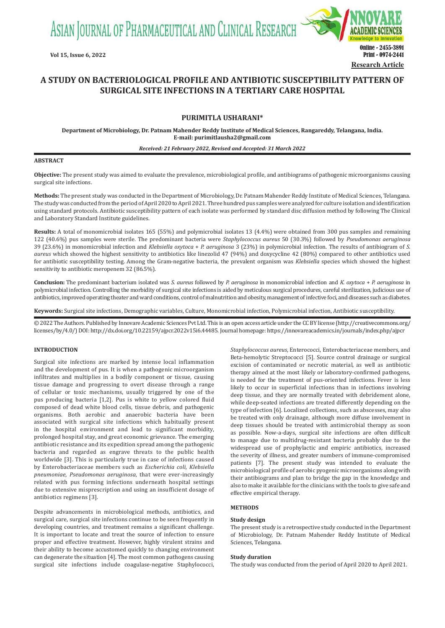ASIAN JOURNAL OF PHARMACEUTICAL AND CLINICAL RESEARCH



# **A STUDY ON BACTERIOLOGICAL PROFILE AND ANTIBIOTIC SUSCEPTIBILITY PATTERN OF SURGICAL SITE INFECTIONS IN A TERTIARY CARE HOSPITAL**

# **PURIMITLA USHARANI\***

**Department of Microbiology, Dr. Patnam Mahender Reddy Institute of Medical Sciences, Rangareddy, Telangana, India. E-mail: purimitlausha2@gmail.com**

#### *Received: 21 February 2022, Revised and Accepted: 31 March 2022*

#### **ABSTRACT**

**Objective:** The present study was aimed to evaluate the prevalence, microbiological profile, and antibiograms of pathogenic microorganisms causing surgical site infections.

**Methods:** The present study was conducted in the Department of Microbiology, Dr. Patnam Mahender Reddy Institute of Medical Sciences, Telangana. The study was conducted from the period of April 2020 to April 2021. Three hundred pus samples were analyzed for culture isolation and identification using standard protocols. Antibiotic susceptibility pattern of each isolate was performed by standard disc diffusion method by following The Clinical and Laboratory Standard Institute guidelines.

**Results:** A total of monomicrobial isolates 165 (55%) and polymicrobial isolates 13 (4.4%) were obtained from 300 pus samples and remaining 122 (40.6%) pus samples were sterile. The predominant bacteria were *Staphylococcus aureus* 50 (30.3%) followed by *Pseudomonas aeruginosa* 39 (23.6%) in monomicrobial infection and *Klebsiella oxytoca* + *P. aeruginosa* 3 (23%) in polymicrobial infection. The results of antibiogram of *S. aureus* which showed the highest sensitivity to antibiotics like linezolid 47 (94%) and doxycycline 42 (80%) compared to other antibiotics used for antibiotic susceptibility testing. Among the Gram-negative bacteria, the prevalent organism was *Klebsiella* species which showed the highest sensitivity to antibiotic meropenem 32 (86.5%).

**Conclusion:** The predominant bacterium isolated was *S. aureus* followed by *P. aeruginosa* in monomicrobial infection and *K. oxytoca* + *P. aeruginosa* in polymicrobial infection. Controlling the morbidity of surgical site infections is aided by meticulous surgical procedures, careful sterilization, judicious use of antibiotics, improved operating theater and ward conditions, control of malnutrition and obesity, management of infective foci, and diseases such as diabetes.

**Keywords:** Surgical site infections, Demographic variables, Culture, Monomicrobial infection, Polymicrobial infection, Antibiotic susceptibility.

© 2022 The Authors. Published by Innovare Academic Sciences Pvt Ltd. This is an open access article under the CC BY license (http://creativecommons.org/ licenses/by/4.0/) DOI: http://dx.doi.org/10.22159/ajpcr.2022v15i6.44485. Journal homepage: https://innovareacademics.in/journals/index.php/ajpcr

## **INTRODUCTION**

Surgical site infections are marked by intense local inflammation and the development of pus. It is when a pathogenic microorganism infiltrates and multiplies in a bodily component or tissue, causing tissue damage and progressing to overt disease through a range of cellular or toxic mechanisms, usually triggered by one of the pus producing bacteria [1,2]. Pus is white to yellow colored fluid composed of dead white blood cells, tissue debris, and pathogenic organisms. Both aerobic and anaerobic bacteria have been associated with surgical site infections which habitually present in the hospital environment and lead to significant morbidity, prolonged hospital stay, and great economic grievance. The emerging antibiotic resistance and its expedition spread among the pathogenic bacteria and regarded as engrave threats to the public health worldwide [3]. This is particularly true in case of infections caused by Enterobacteriaceae members such as *Escherichia coli, Klebsiella pneumoniae, Pseudomonas aeruginosa,* that were ever-increasingly related with pus forming infections underneath hospital settings due to extensive misprescription and using an insufficient dosage of antibiotics regimens [3].

Despite advancements in microbiological methods, antibiotics, and surgical care, surgical site infections continue to be seen frequently in developing countries, and treatment remains a significant challenge. It is important to locate and treat the source of infection to ensure proper and effective treatment. However, highly virulent strains and their ability to become accustomed quickly to changing environment can degenerate the situation [4]. The most common pathogens causing surgical site infections include coagulase-negative Staphylococci,

*Staphylococcus aureus*, Enterococci, Enterobacteriaceae members, and Beta-hemolytic Streptococci [5]. Source control drainage or surgical excision of contaminated or necrotic material, as well as antibiotic therapy aimed at the most likely or laboratory-confirmed pathogens, is needed for the treatment of pus-oriented infections. Fever is less likely to occur in superficial infections than in infections involving deep tissue, and they are normally treated with debridement alone, while deep-seated infections are treated differently depending on the type of infection [6]. Localized collections, such as abscesses, may also be treated with only drainage, although more diffuse involvement in deep tissues should be treated with antimicrobial therapy as soon as possible. Now-a-days, surgical site infections are often difficult to manage due to multidrug-resistant bacteria probably due to the widespread use of prophylactic and empiric antibiotics, increased the severity of illness, and greater numbers of immune-compromised patients [7]. The present study was intended to evaluate the microbiological profile of aerobic pyogenic microorganisms along with their antibiograms and plan to bridge the gap in the knowledge and also to make it available for the clinicians with the tools to give safe and effective empirical therapy.

## **METHODS**

#### **Study design**

The present study is a retrospective study conducted in the Department of Microbiology, Dr. Patnam Mahender Reddy Institute of Medical Sciences, Telangana.

#### **Study duration**

The study was conducted from the period of April 2020 to April 2021.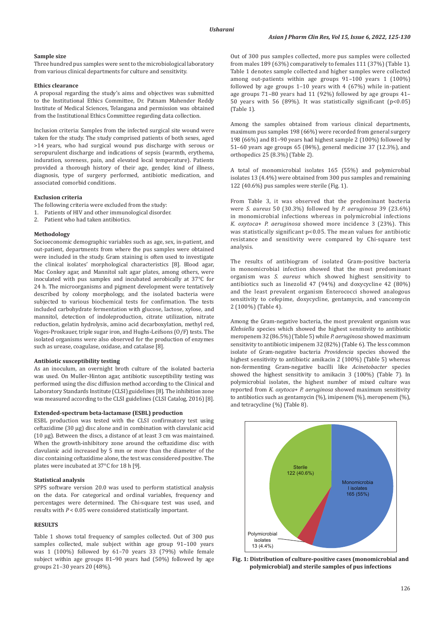# **Sample size**

Three hundred pus samples were sent to the microbiological laboratory from various clinical departments for culture and sensitivity.

## **Ethics clearance**

A proposal regarding the study's aims and objectives was submitted to the Institutional Ethics Committee, Dr. Patnam Mahender Reddy Institute of Medical Sciences, Telangana and permission was obtained from the Institutional Ethics Committee regarding data collection.

Inclusion criteria: Samples from the infected surgical site wound were taken for the study. The study comprised patients of both sexes, aged >14 years, who had surgical wound pus discharge with serous or seropurulent discharge and indications of sepsis (warmth, erythema, induration, soreness, pain, and elevated local temperature). Patients provided a thorough history of their age, gender, kind of illness, diagnosis, type of surgery performed, antibiotic medication, and associated comorbid conditions.

## **Exclusion criteria**

The following criteria were excluded from the study:

- 1. Patients of HIV and other immunological disorder.
- 2. Patient who had taken antibiotics.

## **Methodology**

Socioeconomic demographic variables such as age, sex, in-patient, and out-patient, departments from where the pus samples were obtained were included in the study. Gram staining is often used to investigate the clinical isolates' morphological characteristics [8]. Blood agar, Mac Conkey agar, and Mannitol salt agar plates, among others, were inoculated with pus samples and incubated aerobically at 37°C for 24 h. The microorganisms and pigment development were tentatively described by colony morphology, and the isolated bacteria were subjected to various biochemical tests for confirmation. The tests included carbohydrate fermentation with glucose, lactose, xylose, and mannitol, detection of indoleproduction, citrate utilization, nitrate reduction, gelatin hydrolysis, amino acid decarboxylation, methyl red, Voges-Proskauer, triple sugar iron, and Hughs-Leifsons (O/F) tests. The isolated organisms were also observed for the production of enzymes such as urease, coagulase, oxidase, and catalase [8].

## **Antibiotic susceptibility testing**

As an inoculum, an overnight broth culture of the isolated bacteria was used. On Muller-Hinton agar, antibiotic susceptibility testing was performed using the disc diffusion method according to the Clinical and Laboratory Standards Institute (CLSI) guidelines [8]. The inhibition zone was measured according to the CLSI guidelines (CLSI Catalog, 2016) [8].

#### **Extended-spectrum beta-lactamase (ESBL) production**

ESBL production was tested with the CLSI confirmatory test using ceftazidime (30 µg) disc alone and in combination with clavulanic acid (10 µg). Between the discs, a distance of at least 3 cm was maintained. When the growth-inhibitory zone around the ceftazidime disc with clavulanic acid increased by 5 mm or more than the diameter of the disc containing ceftazidime alone, the test was considered positive. The plates were incubated at 37°C for 18 h [9].

## **Statistical analysis**

SPPS software version 20.0 was used to perform statistical analysis on the data. For categorical and ordinal variables, frequency and percentages were determined. The Chi-square test was used, and results with *P* < 0.05 were considered statistically important.

#### **RESULTS**

Table 1 shows total frequency of samples collected. Out of 300 pus samples collected, male subject within age group 91-100 years was 1 (100%) followed by 61–70 years 33 (79%) while female subject within age groups 81–90 years had (50%) followed by age groups 21–30 years 20 (48%).

Out of 300 pus samples collected, more pus samples were collected from males 189 (63%) comparatively to females 111 (37%) (Table 1). Table 1 denotes sample collected and higher samples were collected among out-patients within age groups 91–100 years 1 (100%) followed by age groups 1–10 years with 4 (67%) while in-patient age groups 71–80 years had 11 (92%) followed by age groups 41– 50 years with 56 (89%). It was statistically significant (p<0.05) (Table 1).

Among the samples obtained from various clinical departments, maximum pus samples 198 (66%) were recorded from general surgery 198 (66%) and 81–90 years had highest sample 2 (100%) followed by 51–60 years age groups 65 (84%), general medicine 37 (12.3%), and orthopedics 25 (8.3%) (Table 2).

A total of monomicrobial isolates 165 (55%) and polymicrobial isolates 13 (4.4%) were obtained from 300 pus samples and remaining 122 (40.6%) pus samples were sterile (Fig. 1).

From Table 3, it was observed that the predominant bacteria were *S. aureus* 50 (30.3%) followed by *P. aeruginosa* 39 (23.6%) in monomicrobial infections whereas in polymicrobial infections *K. oxytoca*+ *P. aeruginosa* showed more incidence 3 (23%). This was statistically significant p<0.05. The mean values for antibiotic resistance and sensitivity were compared by Chi-square test analysis.

The results of antibiogram of isolated Gram-positive bacteria in monomicrobial infection showed that the most predominant organism was *S. aureus* which showed highest sensitivity to antibiotics such as linezolid 47 (94%) and doxycycline 42 (80%) and the least prevalent organism Enterococci showed analogous sensitivity to cefepime, doxycycline, gentamycin, and vancomycin 2 (100%) (Table 4).

Among the Gram-negative bacteria, the most prevalent organism was *Klebsiella* species which showed the highest sensitivity to antibiotic meropenem 32 (86.5%) (Table 5) while *P. aeruginosa* showed maximum sensitivity to antibiotic imipenem 32 (82%) (Table 6). The less common isolate of Gram-negative bacteria *Providencia* species showed the highest sensitivity to antibiotic amikacin 2 (100%) (Table 5) whereas non-fermenting Gram-negative bacilli like *Acinetobacter* species showed the highest sensitivity to amikacin 3 (100%) (Table 7). In polymicrobial isolates, the highest number of mixed culture was reported from *K. oxytoca*+ *P. aeruginosa* showed maximum sensitivity to antibiotics such as gentamycin (%), imipenem (%), meropenem (%), and tetracycline (%) (Table 8).



**Fig. 1: Distribution of culture-positive cases (monomicrobial and polymicrobial) and sterile samples of pus infections**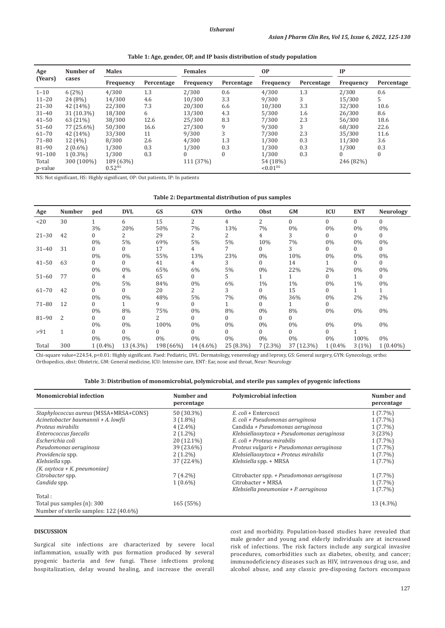| Table 1: Age, gender, OP, and IP basis distribution of study population |  |  |
|-------------------------------------------------------------------------|--|--|
|-------------------------------------------------------------------------|--|--|

| Number of<br>Age |            | <b>Males</b>     |            | <b>Females</b>   |            | <b>OP</b>              |            | IP               |            |
|------------------|------------|------------------|------------|------------------|------------|------------------------|------------|------------------|------------|
| (Years)<br>cases |            | <b>Frequency</b> | Percentage | <b>Frequency</b> | Percentage | <b>Frequency</b>       | Percentage | <b>Frequency</b> | Percentage |
| $1 - 10$         | 6(2%)      | 4/300            | 1.3        | 2/300            | 0.6        | 4/300                  | 1.3        | 2/300            | 0.6        |
| $11 - 20$        | 24 (8%)    | 14/300           | 4.6        | 10/300           | 3.3        | 9/300                  | 3          | 15/300           | 5          |
| $21 - 30$        | 42 (14%)   | 22/300           | 7.3        | 20/300           | 6.6        | 10/300                 | 3.3        | 32/300           | 10.6       |
| $31 - 40$        | 31 (10.3%) | 18/300           | 6          | 13/300           | 4.3        | 5/300                  | 1.6        | 26/300           | 8.6        |
| $41 - 50$        | 63 (21%)   | 38/300           | 12.6       | 25/300           | 8.3        | 7/300                  | 2.3        | 56/300           | 18.6       |
| $51 - 60$        | 77 (25.6%) | 50/300           | 16.6       | 27/300           | 9          | 9/300                  | 3          | 68/300           | 22.6       |
| $61 - 70$        | 42 (14%)   | 33/300           | 11         | 9/300            |            | 7/300                  | 2.3        | 35/300           | 11.6       |
| $71 - 80$        | 12(4%)     | 8/300            | 2.6        | 4/300            | 1.3        | 1/300                  | 0.3        | 11/300           | 3.6        |
| 81-90            | $2(0.6\%)$ | 1/300            | 0.3        | 1/300            | 0.3        | 1/300                  | 0.3        | 1/300            | 0.3        |
| $91 - 100$       | $1(0.3\%)$ | 1/300            | 0.3        | 0                | $\Omega$   | 1/300                  | 0.3        |                  | $\Omega$   |
| Total            | 300 (100%) | 189 (63%)        |            | 111 (37%)        |            | 54 (18%)               |            | 246 (82%)        |            |
| p-value          |            | $0.52^{NS}$      |            |                  |            | $< 0.01$ <sup>HS</sup> |            |                  |            |

NS: Not significant, HS: Highly significant, OP: Out patients, IP: In patients

| Table 2: Departmental distribution of pus samples |  |  |  |  |  |
|---------------------------------------------------|--|--|--|--|--|
|---------------------------------------------------|--|--|--|--|--|

| Age       | <b>Number</b> | ped        | <b>DVL</b> | GS        | <b>GYN</b>   | Ortho     | <b>Obst</b>    | GM         | <b>ICU</b>     | <b>ENT</b>   | <b>Neurology</b> |
|-----------|---------------|------------|------------|-----------|--------------|-----------|----------------|------------|----------------|--------------|------------------|
| <20       | 30            |            | 6          | 15        | 2            | 4         | $\overline{2}$ | $\Omega$   | $\mathbf{0}$   | $\mathbf{0}$ | $\Omega$         |
|           |               | 3%         | 20%        | 50%       | 7%           | 13%       | 7%             | $0\%$      | $0\%$          | $0\%$        | $0\%$            |
| $21 - 30$ | 42            | 0          | 2          | 29        | 2            |           | 4              | 3          | $\overline{0}$ | $\mathbf{0}$ | 0                |
|           |               | 0%         | 5%         | 69%       | 5%           | 5%        | 10%            | 7%         | $0\%$          | $0\%$        | 0%               |
| $31 - 40$ | 31            | 0          | $\Omega$   | 17        | 4            |           | 0              | 3          | $\overline{0}$ | $\mathbf{0}$ | $\overline{0}$   |
|           |               | $0\%$      | 0%         | 55%       | 13%          | 23%       | 0%             | 10%        | $0\%$          | $0\%$        | $0\%$            |
| $41 - 50$ | 63            | 0          | $\Omega$   | 41        | 4            | 3         | 0              | 14         |                | $\mathbf{0}$ | $\overline{0}$   |
|           |               | $0\%$      | 0%         | 65%       | 6%           | 5%        | $0\%$          | 22%        | 2%             | 0%           | $0\%$            |
| $51 - 60$ | 77            | 0          | 4          | 65        | $\mathbf{0}$ | 5         |                |            | $\overline{0}$ |              | $\overline{0}$   |
|           |               | $0\%$      | 5%         | 84%       | $0\%$        | 6%        | $1\%$          | $1\%$      | $0\%$          | 1%           | $0\%$            |
| $61 - 70$ | 42            | 0          | 0          | 20        | 2            | 3         | 0              | 15         | $\Omega$       |              | $\mathbf{1}$     |
|           |               | $0\%$      | 0%         | 48%       | 5%           | 7%        | 0%             | 36%        | $0\%$          | 2%           | 2%               |
| $71 - 80$ | 12            | 0          |            | 9         | 0            |           | 0              |            | 0              |              |                  |
|           |               | $0\%$      | 8%         | 75%       | $0\%$        | 8%        | $0\%$          | 8%         | $0\%$          | 0%           | $0\%$            |
| $81 - 90$ | 2             | 0          | $\Omega$   |           | $\Omega$     | 0         | 0              | 0          |                |              |                  |
|           |               | $0\%$      | $0\%$      | 100%      | $0\%$        | $0\%$     | $0\%$          | 0%         | $0\%$          | $0\%$        | $0\%$            |
| >91       | 1             | 0          | 0          |           | 0            | 0         | 0              | 0          | 0              |              |                  |
|           |               | $0\%$      | $0\%$      | $0\%$     | $0\%$        | $0\%$     | 0%             | $0\%$      | $0\%$          | 100%         | $0\%$            |
| Total     | 300           | $1(0.4\%)$ | 13 (4.3%)  | 198 (66%) | 14 (4.6%)    | 25 (8.3%) | $7(2.3\%)$     | 37 (12.3%) | 1(0.4%         | 3(1%)        | $1(0.40\%)$      |

Chi-square value=224.54, p<0.01: Highly significant. Paed: Pediatric, DVL: Dermatology, venereology and leprosy, GS: General surgery, GYN: Gynecology, ortho: Orthopedics, obst: Obstetric, GM: General medicine, ICU: Intensive care, ENT: Ear, nose and throat, Neur: Neurology

| Table 3: Distribution of monomicrobial, polymicrobial, and sterile pus samples of pyogenic infections |  |  |  |
|-------------------------------------------------------------------------------------------------------|--|--|--|
|                                                                                                       |  |  |  |

| <b>Monomicrobial infection</b>         | Number and<br>percentage | <b>Polymicrobial infection</b>             | Number and<br>percentage |
|----------------------------------------|--------------------------|--------------------------------------------|--------------------------|
| Staphylococcus aureus (MSSA+MRSA+CONS) | 50 (30.3%)               | E. coli + Entercocci                       | $1(7.7\%)$               |
| Acinetobacter baumannii + A. lowfii    | $3(1.8\%)$               | E. coli + Pseudomonas aeruginosa           | $1(7.7\%)$               |
| Proteus mirabilis                      | $4(2.4\%)$               | Candida + Pseudomonas aeruginosa           | $1(7.7\%)$               |
| Enterococcus faecalis                  | $2(1.2\%)$               | Klebsiellaoxytoca + Pseudomonas aeruginosa | 3(23%)                   |
| Escherichia coli                       | 20 (12.1%)               | E. coli + Proteus mirabilis                | $1(7.7\%)$               |
| Pseudomonas aeruginosa                 | 39 (23.6%)               | Proteus vulgaris + Pseudomonas aeruginosa  | $1(7.7\%)$               |
| Providencia spp.                       | $2(1.2\%)$               | Klebsiellaoxytoca + Proteus mirabilis      | $1(7.7\%)$               |
| Klebsiella spp.                        | 37 (22.4%)               | Klebsiella spp. + MRSA                     | $1(7.7\%)$               |
| $(K.$ oxytoca + $K.$ pneumoniae)       |                          |                                            |                          |
| Citrobacter spp.                       | $7(4.2\%)$               | Citrobacter spp. + Pseudomonas aeruginosa  | $1(7.7\%)$               |
| Candida spp.                           | $1(0.6\%)$               | Citrobacter + MRSA                         | $1(7.7\%)$               |
|                                        |                          | Klebsiella pneumoniae + P. aeruginosa      | $1(7.7\%)$               |
| Total:                                 |                          |                                            |                          |
| Total pus samples (n): 300             | 165 (55%)                |                                            | 13 (4.3%)                |
| Number of sterile samples: 122 (40.6%) |                          |                                            |                          |

## **DISCUSSION**

Surgical site infections are characterized by severe local inflammation, usually with pus formation produced by several pyogenic bacteria and few fungi. These infections prolong hospitalization, delay wound healing, and increase the overall cost and morbidity. Population-based studies have revealed that male gender and young and elderly individuals are at increased risk of infections. The risk factors include any surgical invasive procedures, comorbidities such as diabetes, obesity, and cancer; immunodeficiency diseases such as HIV, intravenous drug use, and alcohol abuse, and any classic pre-disposing factors encompass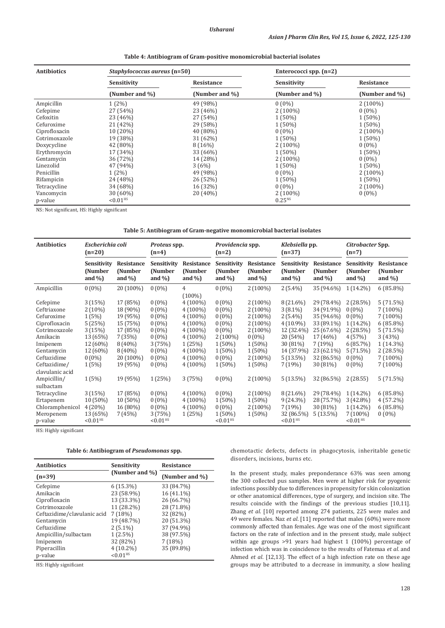| <b>Antibiotics</b> | Staphylococcus aureus (n=50) |                | Enterococci spp. $(n=2)$ |                |  |
|--------------------|------------------------------|----------------|--------------------------|----------------|--|
|                    | Sensitivity                  | Resistance     | Sensitivity              | Resistance     |  |
|                    | (Number and %)               | (Number and %) | (Number and %)           | (Number and %) |  |
| Ampicillin         | $1(2\%)$                     | 49 (98%)       | $0(0\%)$                 | $2(100\%)$     |  |
| Cefepime           | 27 (54%)                     | 23 (46%)       | $2(100\%)$               | $0(0\%)$       |  |
| Cefoxitin          | 23 (46%)                     | 27 (54%)       | 1 (50%)                  | $1(50\%)$      |  |
| Cefuroxime         | 21 (42%)                     | 29 (58%)       | $1(50\%)$                | $1(50\%)$      |  |
| Ciprofloxacin      | 10 (20%)                     | 40 (80%)       | $0(0\%)$                 | $2(100\%)$     |  |
| Cotrimoxazole      | 19 (38%)                     | 31 (62%)       | $1(50\%)$                | $1(50\%)$      |  |
| Doxycycline        | 42 (80%)                     | 8(16%)         | $2(100\%)$               | $0(0\%)$       |  |
| Erythromycin       | 17 (34%)                     | 33 (66%)       | 1 (50%)                  | $1(50\%)$      |  |
| Gentamycin         | 36 (72%)                     | 14 (28%)       | $2(100\%)$               | $0(0\%)$       |  |
| Linezolid          | 47 (94%)                     | 3(6%)          | 1 (50%)                  | $1(50\%)$      |  |
| Penicillin         | $1(2\%)$                     | 49 (98%)       | $0(0\%)$                 | $2(100\%)$     |  |
| Rifampicin         | 24 (48%)                     | 26 (52%)       | $1(50\%)$                | $1(50\%)$      |  |
| Tetracycline       | 34 (68%)                     | 16 (32%)       | $0(0\%)$                 | $2(100\%)$     |  |
| Vancomycin         | $30(60\%)$                   | $20(40\%)$     | $2(100\%)$               | $0(0\%)$       |  |
| p-value            | ${<}0.01$ <sup>HS</sup>      |                | 0.25 <sup>NS</sup>       |                |  |

**Table 4: Antibiogram of Gram-positive monomicrobial bacterial isolates**

NS: Not significant, HS: Highly significant

#### **Table 5: Antibiogram of Gram-negative monomicrobial bacterial isolates**

| <b>Antibiotics</b><br>Escherichia coli<br>$(n=20)$                                                                                                              |                                                                                                           | Proteus spp.<br>$(n=4)$                                                                                               |                                                                                                                    |                                                                                                                                                   | Providencia spp.<br>$(n=2)$                                                                                               |                                                                                                                                     | Klebsiella pp.<br>$(n=37)$                                                                                                       |                                                                                                                                   | Citrobacter Spp.<br>$(n=7)$                                                                                                 |                                                                                                                                  |
|-----------------------------------------------------------------------------------------------------------------------------------------------------------------|-----------------------------------------------------------------------------------------------------------|-----------------------------------------------------------------------------------------------------------------------|--------------------------------------------------------------------------------------------------------------------|---------------------------------------------------------------------------------------------------------------------------------------------------|---------------------------------------------------------------------------------------------------------------------------|-------------------------------------------------------------------------------------------------------------------------------------|----------------------------------------------------------------------------------------------------------------------------------|-----------------------------------------------------------------------------------------------------------------------------------|-----------------------------------------------------------------------------------------------------------------------------|----------------------------------------------------------------------------------------------------------------------------------|
|                                                                                                                                                                 | Sensitivity<br>(Number<br>and $\%$ )                                                                      | <b>Resistance</b><br>(Number<br>and $\%$ )                                                                            | Sensitivity<br>(Number<br>and $\%$                                                                                 | <b>Resistance</b><br>(Number<br>and $\%$ )                                                                                                        | Sensitivity<br><b>(Number)</b><br>and $\%$ )                                                                              | <b>Resistance</b><br>(Number<br>and $\%$ )                                                                                          | Sensitivity<br>(Number<br>and $\%$ )                                                                                             | <b>Resistance</b><br>(Number<br>and $\%$ )                                                                                        | Sensitivity<br><b>(Number)</b><br>and $\%$ )                                                                                | Resistance<br>(Number)<br>and $\%$ )                                                                                             |
| Ampicillin                                                                                                                                                      | $0(0\%)$                                                                                                  | 20 (100%)                                                                                                             | $0(0\%)$                                                                                                           | 4                                                                                                                                                 | $0(0\%)$                                                                                                                  | $2(100\%)$                                                                                                                          | $2(5.4\%)$                                                                                                                       | 35 (94.6%)                                                                                                                        | $1(14.2\%)$                                                                                                                 | $6(85.8\%)$                                                                                                                      |
| Cefepime<br>Ceftriaxone<br>Cefuroxime<br>Ciprofloxacin<br>Cotrimoxazole<br>Amikacin<br>Imipenem<br>Gentamycin<br>Ceftazidime<br>Ceftazidime/<br>clavulanic acid | 3(15%)<br>$2(10\%)$<br>1(5%)<br>5(25%)<br>3(15%)<br>13 (65%)<br>12 (60%)<br>12 (60%)<br>$0(0\%)$<br>1(5%) | 17 (85%)<br>18 (90%)<br>19 (95%)<br>15 (75%)<br>17 (85%)<br>7(35%)<br>$8(40\%)$<br>$8(40\%)$<br>20 (100%)<br>19 (95%) | $0(0\%)$<br>$0(0\%)$<br>$0(0\%)$<br>$0(0\%)$<br>$0(0\%)$<br>$0(0\%)$<br>3(75%)<br>$0(0\%)$<br>$0(0\%)$<br>$0(0\%)$ | $(100\%)$<br>$4(100\%)$<br>$4(100\%)$<br>$4(100\%)$<br>$4(100\%)$<br>$4(100\%)$<br>$4(100\%)$<br>1(25%)<br>$4(100\%)$<br>$4(100\%)$<br>$4(100\%)$ | $0(0\%)$<br>$0(0\%)$<br>$0(0\%)$<br>$0(0\%)$<br>$0(0\%)$<br>$2(100\%)$<br>$1(50\%)$<br>$1(50\%)$<br>$0(0\%)$<br>$1(50\%)$ | $2(100\%)$<br>$2(100\%)$<br>$2(100\%)$<br>$2(100\%)$<br>$2(100\%)$<br>$0(0\%)$<br>$1(50\%)$<br>$1(50\%)$<br>$2(100\%)$<br>$1(50\%)$ | 8 (21.6%)<br>$3(8.1\%)$<br>$2(5.4\%)$<br>$4(10.9\%)$<br>12 (32.4%)<br>20(54%)<br>30 (81%)<br>14 (37.9%)<br>$5(13.5\%)$<br>7(19%) | 29 (78.4%)<br>34 (91.9%)<br>35 (94.6%)<br>33 (89.1%)<br>25 (67.6%)<br>17 (46%)<br>7 (19%)<br>23 (62.1%)<br>32 (86.5%)<br>30 (81%) | $2(28.5\%)$<br>$0(0\%)$<br>$0(0\%)$<br>$1(14.2\%)$<br>$2(28.5\%)$<br>4(57%)<br>6(85.7%)<br>5(71.5%)<br>$0(0\%)$<br>$0(0\%)$ | 5(71.5%)<br>$7(100\%)$<br>$7(100\%)$<br>$6(85.8\%)$<br>5(71.5%)<br>3(43%)<br>$1(14.3\%)$<br>2(28.5%)<br>$7(100\%)$<br>$7(100\%)$ |
| Ampicillin/                                                                                                                                                     | 1(5%)                                                                                                     | 19 (95%)                                                                                                              | 1(25%)                                                                                                             | 3(75%)                                                                                                                                            | $0(0\%)$                                                                                                                  | $2(100\%)$                                                                                                                          | $5(13.5\%)$                                                                                                                      | 32 (86.5%)                                                                                                                        | 2(28.55)                                                                                                                    | 5(71.5%)                                                                                                                         |
| sulbactam<br>Tetracycline<br>Ertapenem<br>Chloramphenicol<br>Meropenem<br>p-value                                                                               | 3(15%)<br>10 (50%)<br>$4(20\%)$<br>13 (65%)<br>${<}0.01$ <sup>HS</sup>                                    | 17 (85%)<br>$10(50\%)$<br>16 (80%)<br>7(45%)                                                                          | $0(0\%)$<br>$0(0\%)$<br>$0(0\%)$<br>3(75%)<br>$< 0.01$ <sup>HS</sup>                                               | $4(100\%)$<br>$4(100\%)$<br>$4(100\%)$<br>1(25%)                                                                                                  | $0(0\%)$<br>$1(50\%)$<br>$0(0\%)$<br>$1(50\%)$<br>$< 0.01$ <sup>HS</sup>                                                  | $2(100\%)$<br>$1(50\%)$<br>$2(100\%)$<br>$1(50\%)$                                                                                  | $8(21.6\%)$<br>$9(24.3\%)$<br>7(19%)<br>32 (86.5%)<br>$< 0.01$ <sup>HS</sup>                                                     | 29 (78.4%)<br>28 (75.7%)<br>30 (81%)<br>$5(13.5\%)$                                                                               | $1(14.2\%)$<br>$3(42.8\%)$<br>$1(14.2\%)$<br>$7(100\%)$<br>$< 0.01$ <sup>HS</sup>                                           | $6(85.8\%)$<br>$4(57.2\%)$<br>$6(85.8\%)$<br>$0(0\%)$                                                                            |

HS: Highly significant

| Table 6: Antibiogram of Pseudomonas spp. |  |
|------------------------------------------|--|
|------------------------------------------|--|

| <b>Antibiotics</b>          | Sensitivity            | <b>Resistance</b> |  |  |
|-----------------------------|------------------------|-------------------|--|--|
| $(n=39)$                    | (Number and %)         | (Number and %)    |  |  |
| Cefepime                    | $6(15.3\%)$            | 33 (84.7%)        |  |  |
| Amikacin                    | 23 (58.9%)             | 16 (41.1%)        |  |  |
| Ciprofloxacin               | 13 (33.3%)             | 26 (66.7%)        |  |  |
| Cotrimoxazole               | 11 (28.2%)             | 28 (71.8%)        |  |  |
| Ceftazidime/clavulanic acid | 7(18%)                 | 32 (82%)          |  |  |
| Gentamycin                  | 19 (48.7%)             | 20 (51.3%)        |  |  |
| Ceftazidime                 | $2(5.1\%)$             | 37 (94.9%)        |  |  |
| Ampicillin/sulbactam        | $1(2.5\%)$             | 38 (97.5%)        |  |  |
| Imipenem                    | 32 (82%)               | 7(18%)            |  |  |
| Piperacillin                | $4(10.2\%)$            | 35 (89.8%)        |  |  |
| p-value                     | $< 0.01$ <sup>HS</sup> |                   |  |  |

HS: Highly significant

chemotactic defects, defects in phagocytosis, inheritable genetic disorders, incisions, burns etc.

In the present study, males preponderance 63% was seen among the 300 collected pus samples. Men were at higher risk for pyogenic infections possibly due to differences in propensity for skin colonization or other anatomical differences, type of surgery, and incision site. The results coincide with the findings of the previous studies [10,11]. Zhang *et al*. [10] reported among 274 patients, 225 were males and 49 were females. Naz *et al*. [11] reported that males (60%) were more commonly affected than females. Age was one of the most significant factors on the rate of infection and in the present study, male subject within age groups >91 years had highest 1 (100%) percentage of infection which was in coincidence to the results of Fatemaa *et al*. and Ahmed *et al*. [12,13]. The effect of a high infection rate on these age groups may be attributed to a decrease in immunity, a slow healing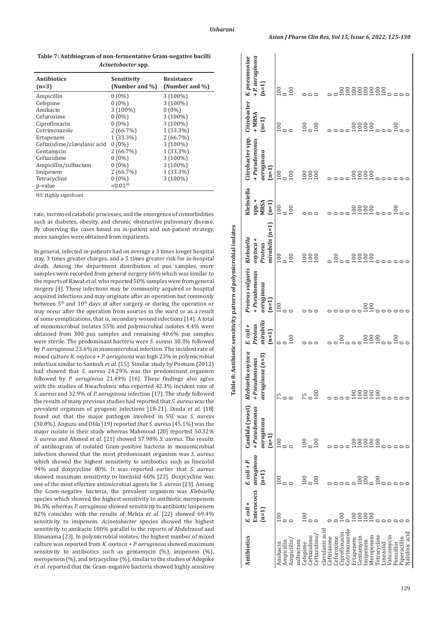| <b>Antibiotics</b><br>$(n=3)$ | Sensitivity<br>(Number and %) | Resistance<br>(Number and %) |
|-------------------------------|-------------------------------|------------------------------|
| Ampicillin                    | $0(0\%)$                      | $3(100\%)$                   |
| Cefepime                      | $0(0\%)$                      | 3 (100%)                     |
| Amikacin                      | $3(100\%)$                    | $0(0\%)$                     |
| Cefuroxime                    | $0(0\%)$                      | $3(100\%)$                   |
| Ciprofloxacin                 | $0(0\%)$                      | 3 (100%)                     |
| Cotrimoxazole                 | 2(66.7%)                      | $1(33.3\%)$                  |
| Ertapenem                     | 1 (33.3%)                     | 2(66.7%)                     |
| Ceftazidime/clavulanic acid   | $0(0\%)$                      | 3 (100%)                     |
| Gentamycin                    | 2(66.7%)                      | 1 (33.3%)                    |
| Ceftazidime                   | $0(0\%)$                      | 3 (100%)                     |
| Ampicillin/sulbactam          | $0(0\%)$                      | 3 (100%)                     |
| Imipenem                      | 2(66.7%)                      | $1(33.3\%)$                  |
| Tetracycline                  | $0(0\%)$                      | 3 (100%)                     |
| p-value                       | $< 0.01$ <sup>HS</sup>        |                              |

**Table 7: Antibiogram of non-fermentative Gram-negative bacilli**  *Acinetobacter* **spp.**

HS: Highly significant

rate, increased catabolic processes, and the emergence of comorbidities such as diabetes, obesity, and chronic obstructive pulmonary disease. By observing the cases based on in-patient and out-patient strategy, more samples were obtained from inpatients.

In general, infected in-patients had on average a 3 times longer hospital stay, 3 times greater charges, and a 5 times greater risk for in-hospital death. Among the department distribution of pus samples, more samples were recorded from general surgery 66% which was similar to the reports of Rawat *et al*. who reported 50% samples were from general surgery [4]. These infections may be community acquired or hospital acquired infections and may originate after an operation but commonly between 5<sup>th</sup> and 10<sup>th</sup> days of after surgery or during the operation or may occur after the operation from sources in the ward or as a result of some complications, that is, secondary wound infections [14]. A total of monomicrobial isolates 55% and polymicrobial isolates 4.4% were obtained from 300 pus samples and remaining 40.6% pus samples were sterile. The predominant bacteria were *S. aureus* 30.3% followed by *P. aeruginosa* 23.6% in monomicrobial infection. The incident rate of mixed culture *K. oxytoca + P. aeruginosa* was high 23% in polymicrobial infection similar to Santosh *et al*. [15]. Similar study by Poonam (2012) had showed that *S. aureus* 24.29% was the predominant organism followed by *P. aeruginosa* 21.49% [16]. These findings also agree with the studies of Nwachukwu who reported 42.3% incident rate of *S. aureus* and 32.9% of *P. aeruginosa* infection [17]. The study followed the results of many previous studies had reported that *S. aureus* was the prevalent organism of pyogenic infections [18-21]. Dinda *et al*. [18] found out that the major pathogen involved in SSI was *S. aureus*  (30.8%). Anguzu and Olila [19] reported *that S. aureus* (45.1%) was the major isolate in their study whereas Mahmood [20] reported 50.32*% S. aureus* and Ahmed *et al*. [21] showed 57.98% *S. aureus*. The results of antibiogram of isolated Gram-positive bacteria in monomicrobial infection showed that the most predominant organism was *S. aureus* which showed the highest sensitivity to antibiotics such as linezolid 94% and doxycycline 80%. It was reported earlier that *S. aureus* showed maximum sensitivity to linezolid 60% [22]. Doxycycline was one of the most effective antimicrobial agents for *S. aureus* [23]. Among the Gram-negative bacteria, the prevalent organism was *Klebsiella* species which showed the highest sensitivity to antibiotic meropenem 86.5% whereas *P. aeruginosa* showed sensitivity to antibiotic imipenem 82% coincides with the results of Mehta *et al*. [22] showed 69.4% sensitivity to imipenem. *Acinetobacter* species showed the highest sensitivity to amikacin 100% parallel to the reports of Abdelraouf and Elmanama [23]. In polymicrobial isolates, the highest number of mixed culture was reported from *K. oxytoca + P. aeruginosa* showed maximum sensitivity to antibiotics such as gentamycin (%), imipenem (%), meropenem (%), and tetracycline (%), similar to the studies of Adegoke *et al*. reported that the Gram-negative bacteria showed highly sensitive

+ P. aeruginosa Citrobacter K. pneumoniae *K. pneumoniae + P. aeruginosa* **(n=1)**  $\frac{18}{100}$ Amikacin 100 100 100 75 0 100 100 100 100 100 100 0 0 0 100 0 100 100 100 0 100 CIPROFLOXACING DUAL COMPANY DUAL COMPANY DUAL COMPANY DUAL COMPANY DUAL COMPANY DUAL COMPANY DUAL COMPANY DUAL COMPANY DUAL COMPANY DUAL COMPANY DUAL COMPANY DUAL COMPANY DUAL COMPANY DUAL COMPANY DUAL COMPANY DUAL COMPAN Cotrimoxazole 0 0 0 0 0 0 0 0 0 0 100 Ertapenem 100 0 100 100 0 0 100 100 100 100 100 Gentamycin 100 100 100 100 0 0 100 100 100 100 100 00T 00T 00T 00T 00T 00T 00T 00T 00T 00T 00T 10DT 10DT 10DT Meropenem 100 0 100 100 100 100 100 100 100 100 100 Tetracycline 0 100 100 100 100 0 0 0 0 0 100 Linezolid 0 0 0 0 0 0 0 0 0 0 100 Ampicillin 0 0 0 0 0 0 0 0 0 0 0  $\begin{bmatrix} 0 & 0 & 0 & 0 \\ 0 & 0 & 0 & 0 \\ 0 & 0 & 0 & 0 \\ 0 & 0 & 0 & 0 \end{bmatrix}$ Ceftazidime 0 0 0 0 0 0 100 0 100 0 0 100 100 100 0 0 100 0 100 100 0 Ceftriaxone 0 0 0 0 0 0 0 0 0 0 0 Cefuroxime 0 0 0 0 0 0 100 0 0 0 0 Vancomycin 0 0 0 0 0 0 0 0 0 0 0 Penicillin 0 0 0 0 100 0 0 100 0 100 0 Piperacillin 0 0 0 0 0 0 0 0 0 0 0 Nalidixic acid 0 0 0 0 0 0 0 0 0 0 0**Citrobacter**  + MRSA **+ MRSA (n=1)**  $\frac{100}{100}$ Citrobacter spp. **Citrobacter spp.**  + Pseudomonas **+** *Pseudomonas*  aeruginosa *aeruginosa* **(n=1)**  $\frac{18}{10}$ 888 8888 **Clebsiella Klebsiella spp. + MRSA (n=1)**  $\circ$  $\frac{100}{100}$  $nirability$  $(n=1)$ *mirabilis* **(n=1)** Table 8: Antibiotic sensitivity pattern of polymicrobial isolates **Table 8: Antibiotic sensitivity pattern of polymicrobial isolates** Klebsiella *Klebsiella*   $o$ xytoc $a$  + *oxytoca +*  Proteus *Proteus*   $\frac{10}{20}$ 888 **8.8888** Proteus vulgaris *Proteus vulgaris*  + Pseudomonas *+ Pseudomonas*  neruginosa *aeruginosa* **(n=1)**  $|\Xi$ mirabilis Proteus *mirabilis E. coli + Proteus*  **(n=1)**  $\circ$   $\frac{8}{100}$ Klebsiella oxytoca *Klebsiella oxytoca*  aeruginosa (n=3) *aeruginosa* **(n=3)** + Pseudomonas *+ Pseudomonas*   $^{75}_{0.00}$  $\frac{5}{2}$ Candida (yeast) **Candida (yeast)**  + Pseudomonas **+** *Pseudomonas*  neruginosa *aeruginosa*  **(n=1)**  $|_{\mathfrak{so}}^{\mathfrak{so}}$  $\frac{100}{100}$ 88888 **(n=1)** *aeruginosa*   $E.$   $coli + P$ *E. coli + P.*   $\frac{8}{100}$ Enterococci **Enterococci**   $E.$   $coli +$ **Antibiotics** *E. coli* **+ (n=1)**  $\frac{1}{2}$  $\frac{8}{100}$ clavulanic acid<br>Ceftriaxone<br>Cefturoxime<br>Ciprofloxacin<br>Cotrimoxazole Piperacillin<br>Nalidixic acid clavulanic acid sulbactam<br>Cefepime<br>Ceftazidime<br>Ceftazidime/ Extrapentant<br>Gentamycin<br>Imipenem<br>Meropenem<br>Meroycline<br>Tetracycline Ceftazidime/ Antibiotics Amikacin<br>Ampicillin<br>Ampicillin/ ancomvcin Ampicillin/ sulbactam inezolid enicillin